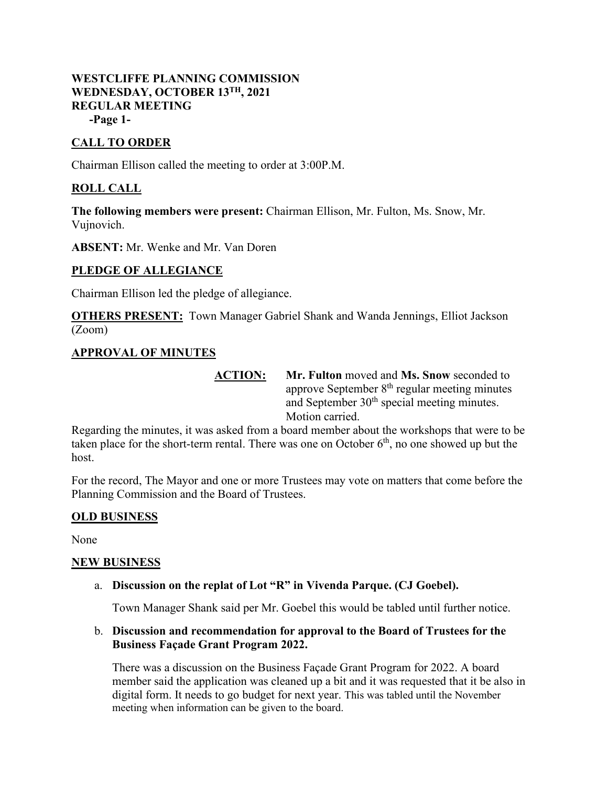## **WESTCLIFFE PLANNING COMMISSION WEDNESDAY, OCTOBER 13TH, 2021 REGULAR MEETING -Page 1-**

# **CALL TO ORDER**

Chairman Ellison called the meeting to order at 3:00P.M.

# **ROLL CALL**

**The following members were present:** Chairman Ellison, Mr. Fulton, Ms. Snow, Mr. Vujnovich.

**ABSENT:** Mr. Wenke and Mr. Van Doren

## **PLEDGE OF ALLEGIANCE**

Chairman Ellison led the pledge of allegiance.

**OTHERS PRESENT:** Town Manager Gabriel Shank and Wanda Jennings, Elliot Jackson (Zoom)

### **APPROVAL OF MINUTES**

**ACTION: Mr. Fulton** moved and **Ms. Snow** seconded to approve September  $8<sup>th</sup>$  regular meeting minutes and September 30<sup>th</sup> special meeting minutes. Motion carried.

Regarding the minutes, it was asked from a board member about the workshops that were to be taken place for the short-term rental. There was one on October  $6<sup>th</sup>$ , no one showed up but the host.

For the record, The Mayor and one or more Trustees may vote on matters that come before the Planning Commission and the Board of Trustees.

### **OLD BUSINESS**

None

#### **NEW BUSINESS**

a. **Discussion on the replat of Lot "R" in Vivenda Parque. (CJ Goebel).**

Town Manager Shank said per Mr. Goebel this would be tabled until further notice.

### b. **Discussion and recommendation for approval to the Board of Trustees for the Business Façade Grant Program 2022.**

There was a discussion on the Business Façade Grant Program for 2022. A board member said the application was cleaned up a bit and it was requested that it be also in digital form. It needs to go budget for next year. This was tabled until the November meeting when information can be given to the board.